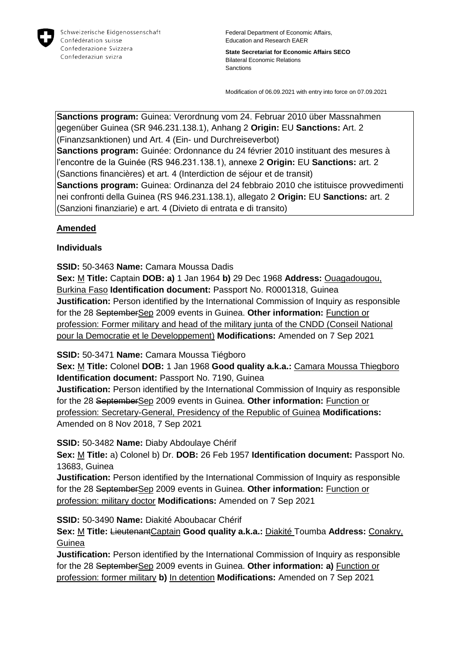

**State Secretariat for Economic Affairs SECO** Bilateral Economic Relations **Sanctions** 

Modification of 06.09.2021 with entry into force on 07.09.2021

**Sanctions program:** Guinea: Verordnung vom 24. Februar 2010 über Massnahmen gegenüber Guinea (SR 946.231.138.1), Anhang 2 **Origin:** EU **Sanctions:** Art. 2 (Finanzsanktionen) und Art. 4 (Ein- und Durchreiseverbot) **Sanctions program:** Guinée: Ordonnance du 24 février 2010 instituant des mesures à l'encontre de la Guinée (RS 946.231.138.1), annexe 2 **Origin:** EU **Sanctions:** art. 2 (Sanctions financières) et art. 4 (Interdiction de séjour et de transit) **Sanctions program:** Guinea: Ordinanza del 24 febbraio 2010 che istituisce provvedimenti nei confronti della Guinea (RS 946.231.138.1), allegato 2 **Origin:** EU **Sanctions:** art. 2 (Sanzioni finanziarie) e art. 4 (Divieto di entrata e di transito)

## **Amended**

## **Individuals**

**SSID:** 50-3463 **Name:** Camara Moussa Dadis **Sex:** M **Title:** Captain **DOB: a)** 1 Jan 1964 **b)** 29 Dec 1968 **Address:** Ouagadougou, Burkina Faso **Identification document:** Passport No. R0001318, Guinea **Justification:** Person identified by the International Commission of Inquiry as responsible for the 28 SeptemberSep 2009 events in Guinea. **Other information:** Function or profession: Former military and head of the military junta of the CNDD (Conseil National pour la Democratie et le Developpement) **Modifications:** Amended on 7 Sep 2021

**SSID:** 50-3471 **Name:** Camara Moussa Tiégboro

**Sex:** M **Title:** Colonel **DOB:** 1 Jan 1968 **Good quality a.k.a.:** Camara Moussa Thiegboro **Identification document:** Passport No. 7190, Guinea

**Justification:** Person identified by the International Commission of Inquiry as responsible for the 28 SeptemberSep 2009 events in Guinea. **Other information:** Function or profession: Secretary-General, Presidency of the Republic of Guinea **Modifications:**  Amended on 8 Nov 2018, 7 Sep 2021

**SSID:** 50-3482 **Name:** Diaby Abdoulaye Chérif

**Sex:** M **Title:** a) Colonel b) Dr. **DOB:** 26 Feb 1957 **Identification document:** Passport No. 13683, Guinea

**Justification:** Person identified by the International Commission of Inquiry as responsible for the 28 SeptemberSep 2009 events in Guinea. **Other information:** Function or profession: military doctor **Modifications:** Amended on 7 Sep 2021

**SSID:** 50-3490 **Name:** Diakité Aboubacar Chérif

**Sex:** M **Title:** LieutenantCaptain **Good quality a.k.a.:** Diakité Toumba **Address:** Conakry, Guinea

**Justification:** Person identified by the International Commission of Inquiry as responsible for the 28 SeptemberSep 2009 events in Guinea. **Other information: a)** Function or profession: former military **b)** In detention **Modifications:** Amended on 7 Sep 2021